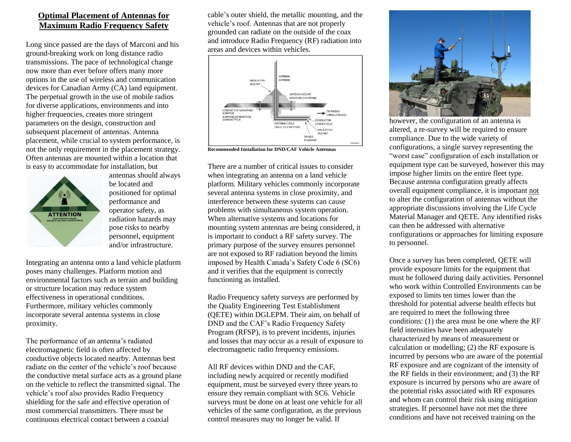## **Optimal Placement of Antennas for Maximum Radio Frequency Safety**

Long since passed are the days of Marconi and his ground-breaking work on long distance radio transmissions. The pace of technological change now more than ever before offers many more options in the use of wireless and communication devices for Canadian Army (CA) land equipment. The perpetual growth in the use of mobile radios for diverse applications, environments and into higher frequencies, creates more stringent parameters on the design, construction and subsequent placement of antennas. Antenna placement, while crucial to system performance, is not the only requirement in the placement strategy. Often antennas are mounted within a location that is easy to accommodate for installation, but



antennas should always be located and positioned for optimal performance and operator safety, as radiation hazards may pose risks to nearby personnel, equipment and/or infrastructure.

Integrating an antenna onto a land vehicle platform poses many challenges. Platform motion and environmental factors such as terrain and building or structure location may reduce system effectiveness in operational conditions. Furthermore, military vehicles commonly incorporate several antenna systems in close proximity.

The performance of an antenna's radiated electromagnetic field is often affected by conductive objects located nearby. Antennas best radiate on the center of the vehicle's roof because the conductive metal surface acts as a ground plane on the vehicle to reflect the transmitted signal. The vehicle's roof also provides Radio Frequency shielding for the safe and effective operation of most commercial transmitters. There must be continuous electrical contact between a coaxial

cable's outer shield, the metallic mounting, and the vehicle's roof. Antennas that are not properly grounded can radiate on the outside of the coax and introduce Radio Frequency (RF) radiation into areas and devices within vehicles.



**Recommended Installation for DND/CAF Vehicle Antennas**

There are a number of critical issues to consider when integrating an antenna on a land vehicle platform. Military vehicles commonly incorporate several antenna systems in close proximity, and interference between these systems can cause problems with simultaneous system operation. When alternative systems and locations for mounting system antennas are being considered, it is important to conduct a RF safety survey. The primary purpose of the survey ensures personnel are not exposed to RF radiation beyond the limits imposed by Health Canada's Safety Code 6 (SC6) and it verifies that the equipment is correctly functioning as installed.

Radio Frequency safety surveys are performed by the Quality Engineering Test Establishment (QETE) within DGLEPM. Their aim, on behalf of DND and the CAF's Radio Frequency Safety Program (RFSP), is to prevent incidents, injuries and losses that may occur as a result of exposure to electromagnetic radio frequency emissions.

All RF devices within DND and the CAF, including newly acquired or recently modified equipment, must be surveyed every three years to ensure they remain compliant with SC6. Vehicle surveys must be done on at least one vehicle for all vehicles of the same configuration, as the previous control measures may no longer be valid. If



however, the configuration of an antenna is altered, a re-survey will be required to ensure compliance. Due to the wide variety of configurations, a single survey representing the "worst case" configuration of each installation or equipment type can be surveyed, however this may impose higher limits on the entire fleet type. Because antenna configuration greatly affects overall equipment compliance, it is important not to alter the configuration of antennas without the appropriate discussions involving the Life Cycle Material Manager and QETE. Any identified risks can then be addressed with alternative configurations or approaches for limiting exposure to personnel.

Once a survey has been completed, QETE will provide exposure limits for the equipment that must be followed during daily activities. Personnel who work within Controlled Environments can be exposed to limits ten times lower than the threshold for potential adverse health effects but are required to meet the following three conditions: (1) the area must be one where the RF field intensities have been adequately characterized by means of measurement or calculation or modelling; (2) the RF exposure is incurred by persons who are aware of the potential RF exposure and are cognizant of the intensity of the RF fields in their environment; and (3) the RF exposure is incurred by persons who are aware of the potential risks associated with RF exposures and whom can control their risk using mitigation strategies. If personnel have not met the three conditions and have not received training on the